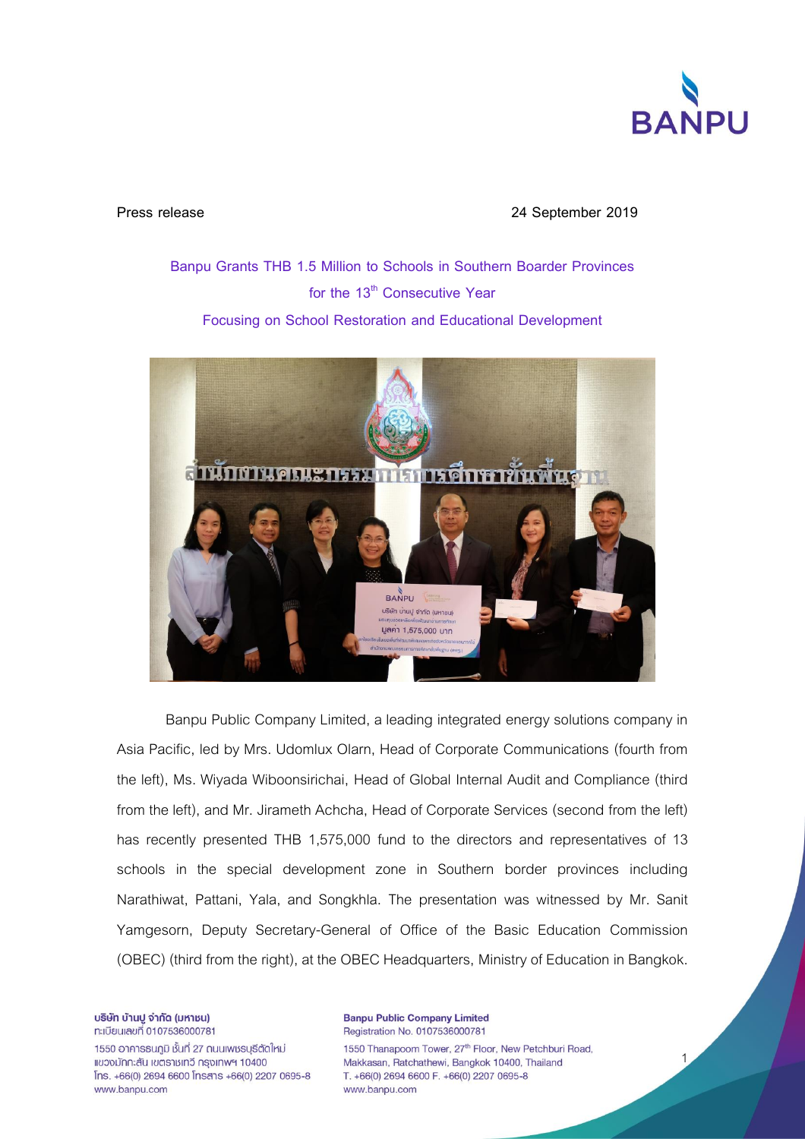

**Press release 24 September 2019**

**Banpu Grants THB 1.5 Million to Schools in Southern Boarder Provinces for the 13th Consecutive Year Focusing on School Restoration and Educational Development**



Banpu Public Company Limited, a leading integrated energy solutions company in Asia Pacific, led by Mrs. Udomlux Olarn, Head of Corporate Communications (fourth from the left), Ms. Wiyada Wiboonsirichai, Head of Global Internal Audit and Compliance (third from the left), and Mr. Jirameth Achcha, Head of Corporate Services (second from the left) has recently presented THB 1,575,000 fund to the directors and representatives of 13 schools in the special development zone in Southern border provinces including Narathiwat, Pattani, Yala, and Songkhla. The presentation was witnessed by Mr. Sanit Yamgesorn, Deputy Secretary-General of Office of the Basic Education Commission (OBEC) (third from the right), at the OBEC Headquarters, Ministry of Education in Bangkok.

บริษัท บ้านปู จำกัด (มหาชน) n:เบียนเลขที่ 0107536000781

1550 อาคาธธนภูมิ ชั้นที่ 27 ถนนเพชรบุรีตัดใหม่ แขวงมักกะสัน เขตราชเทวี กรุงเทพฯ 10400 Ins. +66(0) 2694 6600 Insans +66(0) 2207 0695-8 www.banpu.com

**Banpu Public Company Limited** Registration No. 0107536000781 1550 Thanapoom Tower, 27th Floor, New Petchburi Road, Makkasan, Ratchathewi, Bangkok 10400, Thailand T. +66(0) 2694 6600 F. +66(0) 2207 0695-8 www.banpu.com

1